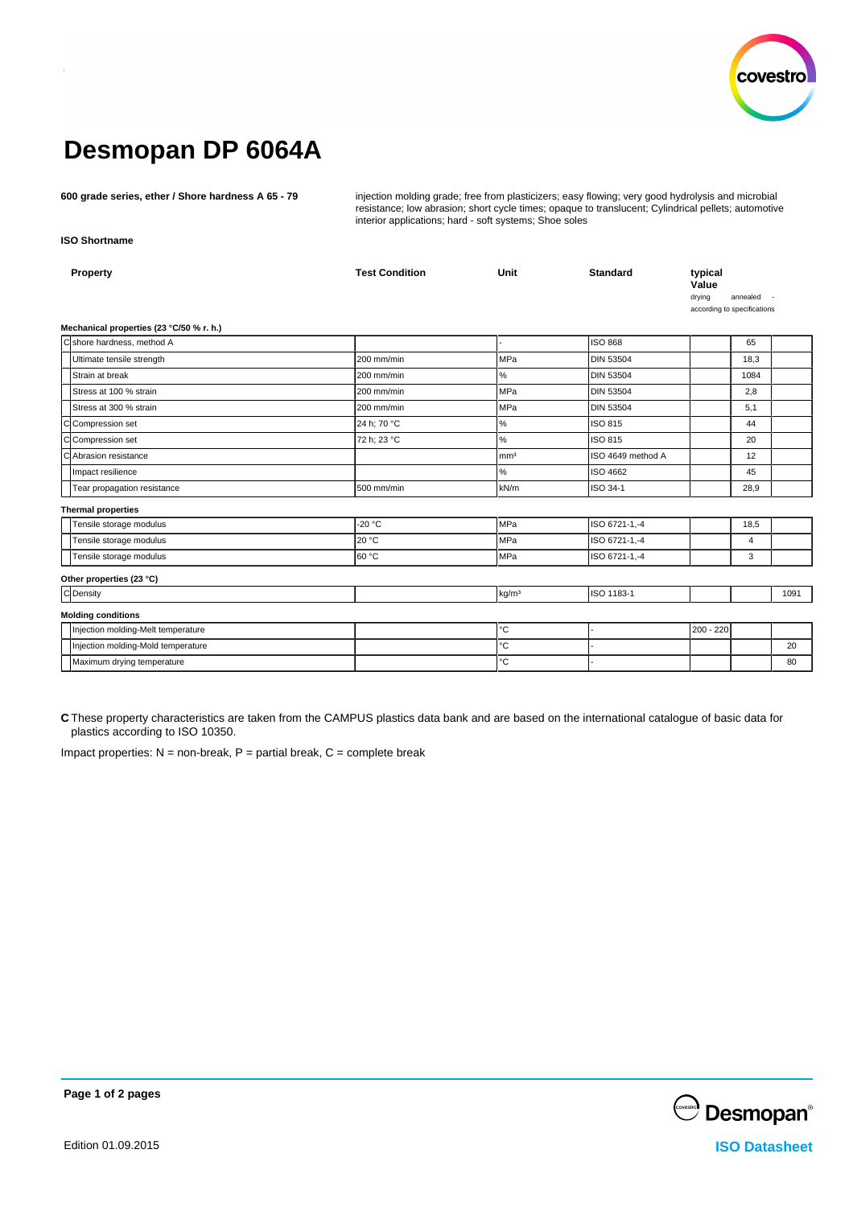

# **Desmopan DP 6064A**

**600 grade series, ether / Shore hardness A 65 - 79** injection molding grade; free from plasticizers; easy flowing; very good hydrolysis and microbial resistance; low abrasion; short cycle times; opaque to translucent; Cylindrical pellets; automotive interior applications; hard - soft systems; Shoe soles

**ISO Shortname**

| Property                                 | <b>Test Condition</b> | Unit              | <b>Standard</b>   | typical<br>Value<br>drying<br>according to specifications | annealed |      |
|------------------------------------------|-----------------------|-------------------|-------------------|-----------------------------------------------------------|----------|------|
| Mechanical properties (23 °C/50 % r. h.) |                       |                   |                   |                                                           |          |      |
| C shore hardness, method A               |                       |                   | <b>ISO 868</b>    |                                                           | 65       |      |
| Ultimate tensile strength                | 200 mm/min            | <b>MPa</b>        | <b>DIN 53504</b>  |                                                           | 18,3     |      |
| Strain at break                          | 200 mm/min            | %                 | <b>DIN 53504</b>  |                                                           | 1084     |      |
| Stress at 100 % strain                   | 200 mm/min            | <b>MPa</b>        | <b>DIN 53504</b>  |                                                           | 2,8      |      |
| Stress at 300 % strain                   | 200 mm/min            | <b>MPa</b>        | <b>DIN 53504</b>  |                                                           | 5,1      |      |
| C Compression set                        | 24 h; 70 °C           | $\%$              | ISO 815           |                                                           | 44       |      |
| C Compression set                        | 72 h; 23 °C           | %                 | ISO 815           |                                                           | 20       |      |
| cl<br>Abrasion resistance                |                       | mm <sup>3</sup>   | ISO 4649 method A |                                                           | 12       |      |
| Impact resilience                        |                       | $\%$              | ISO 4662          |                                                           | 45       |      |
| Tear propagation resistance              | 500 mm/min            | kN/m              | ISO 34-1          |                                                           | 28,9     |      |
| <b>Thermal properties</b>                |                       |                   |                   |                                                           |          |      |
| Tensile storage modulus                  | $-20 °C$              | MPa               | ISO 6721-1,-4     |                                                           | 18,5     |      |
| Tensile storage modulus                  | 20 °C                 | MPa               | ISO 6721-1,-4     |                                                           | 4        |      |
| Tensile storage modulus                  | 160 °C                | <b>MPa</b>        | ISO 6721-1,-4     |                                                           | 3        |      |
| Other properties (23 °C)                 |                       |                   |                   |                                                           |          |      |
| C Density                                |                       | kg/m <sup>3</sup> | ISO 1183-1        |                                                           |          | 1091 |
| <b>Molding conditions</b>                |                       |                   |                   |                                                           |          |      |
| Injection molding-Melt temperature       |                       | $^{\circ}{\rm C}$ |                   | 200 - 220                                                 |          |      |
| Injection molding-Mold temperature       |                       | $^{\circ}{\rm C}$ |                   |                                                           |          | 20   |
| Maximum drying temperature               |                       | $^{\circ}{\rm C}$ |                   |                                                           |          | 80   |

**C** These property characteristics are taken from the CAMPUS plastics data bank and are based on the international catalogue of basic data for plastics according to ISO 10350.

Impact properties:  $N =$  non-break,  $P =$  partial break,  $C =$  complete break



**Page 1 of 2 pages**